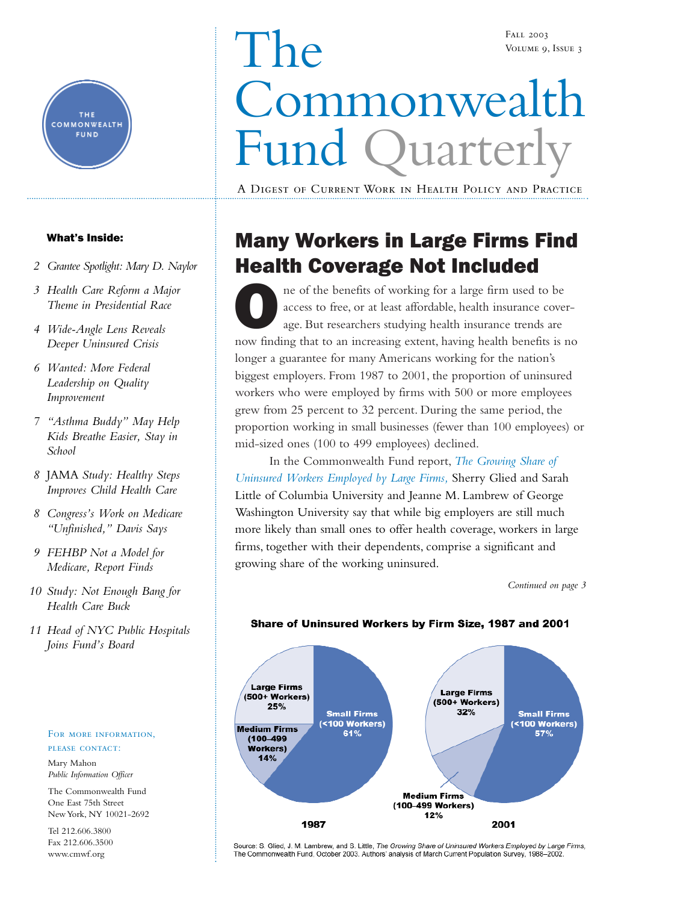

### What's Inside:

- *[2 Grantee Spotlight: Mary D. Naylor](#page-1-0)*
- *[3 Health Care Reform a Major](#page-2-0) Theme in Presidential Race*
- *[4 Wide-Angle Lens Reveals](#page-3-0) Deeper Uninsured Crisis*
- *6 Wanted: More Federal Leadership on Quality Improvement*
- *[7 "Asthma Buddy" May Help](#page-6-0) Kids Breathe Easier, Stay in School*
- *8* JAMA *Study: Healthy Steps [Improves Child Health Care](#page-7-0)*
- *[8 Congress's Work on Medicare](#page-7-0) "Unfinished," Davis Says*
- *[9 FEHBP Not a Model for](#page-8-0) Medicare, Report Finds*
- *[10 Study: Not Enough Bang for](#page-9-0) Health Care Buck*
- *[11 Head of NYC Public Hospitals](#page-10-0) Joins Fund's Board*

#### FOR MORE INFORMATION, please contact:

Mary Mahon *Public Information Officer*

The Commonwealth Fund One East 75th Street New York, NY 10021-2692

Tel 212.606.3800 Fax 212.606.3500 www.cmwf.org

# The Commonwealth Fund Quarterly Fall 2003 Volume 9, Issue 3

A Digest of Current Work in Health Policy and Practice

# Many Workers in Large Firms Find Health Coverage Not Included

ne of the benefits of working for a large firm used to be access to free, or at least affordable, health insurance coverage. But researchers studying health insurance trends are now finding that to an increasing extent, having health benefits is no longer a guarantee for many Americans working for the nation's biggest employers. From 1987 to 2001, the proportion of uninsured workers who were employed by firms with 500 or more employees grew from 25 percent to 32 percent. During the same period, the proportion working in small businesses (fewer than 100 employees) or mid-sized ones (100 to 499 employees) declined.

In the Commonwealth Fund report, *[The Growing Share of](http://www.cmwf.org/programs/insurance/glied_largefirms_672.pdf) [Uninsured Workers Employed by Large Firms,](http://www.cmwf.org/programs/insurance/glied_largefirms_672.pdf)* Sherry Glied and Sarah Little of Columbia University and Jeanne M. Lambrew of George Washington University say that while big employers are still much more likely than small ones to offer health coverage, workers in large firms, together with their dependents, comprise a significant and growing share of the working uninsured.

*Continued on page 3*



### Share of Uninsured Workers by Firm Size, 1987 and 2001

Source: S. Glied, J. M. Lambrew, and S. Little, The Growing Share of Uninsured Workers Employed by Large Firms, The Commonwealth Fund, October 2003. Authors' analysis of March Current Population Survey, 1988-2002.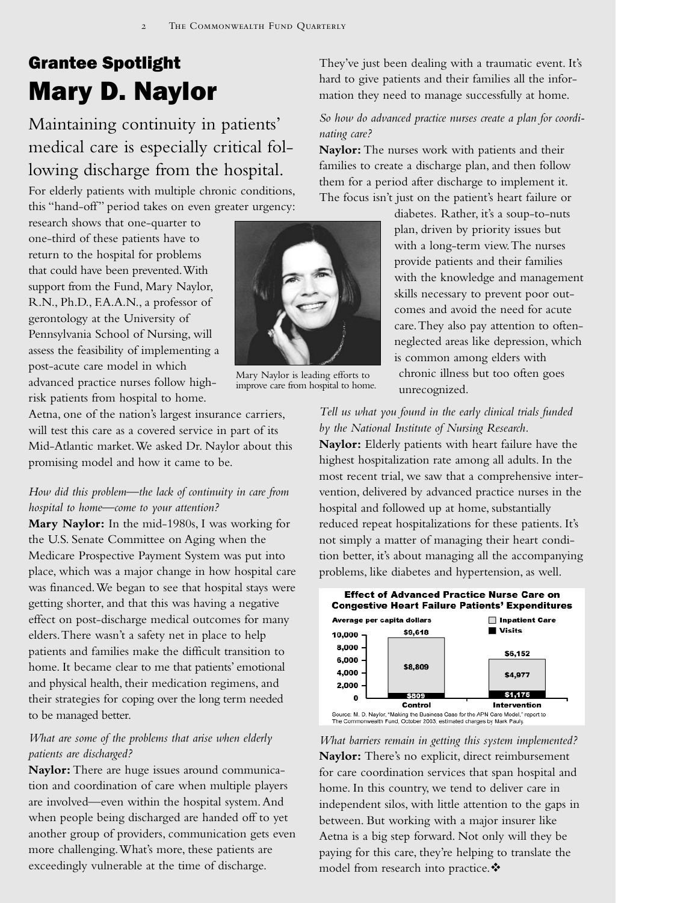# <span id="page-1-0"></span>Grantee Spotlight Mary D. Naylor

Maintaining continuity in patients' medical care is especially critical following discharge from the hospital.

For elderly patients with multiple chronic conditions, this "hand-off" period takes on even greater urgency:

research shows that one-quarter to one-third of these patients have to return to the hospital for problems that could have been prevented.With support from the Fund, Mary Naylor, R.N., Ph.D., F.A.A.N., a professor of gerontology at the University of Pennsylvania School of Nursing, will assess the feasibility of implementing a post-acute care model in which advanced practice nurses follow highrisk patients from hospital to home.

Aetna, one of the nation's largest insurance carriers, will test this care as a covered service in part of its Mid-Atlantic market.We asked Dr. Naylor about this promising model and how it came to be.

### *How did this problem—the lack of continuity in care from hospital to home—come to your attention?*

**Mary Naylor:** In the mid-1980s, I was working for the U.S. Senate Committee on Aging when the Medicare Prospective Payment System was put into place, which was a major change in how hospital care was financed.We began to see that hospital stays were getting shorter, and that this was having a negative effect on post-discharge medical outcomes for many elders.There wasn't a safety net in place to help patients and families make the difficult transition to home. It became clear to me that patients' emotional and physical health, their medication regimens, and their strategies for coping over the long term needed to be managed better.

### *What are some of the problems that arise when elderly patients are discharged?*

**Naylor:** There are huge issues around communication and coordination of care when multiple players are involved—even within the hospital system.And when people being discharged are handed off to yet another group of providers, communication gets even more challenging.What's more, these patients are exceedingly vulnerable at the time of discharge.

They've just been dealing with a traumatic event. It's hard to give patients and their families all the information they need to manage successfully at home.

### *So how do advanced practice nurses create a plan for coordinating care?*

**Naylor:** The nurses work with patients and their families to create a discharge plan, and then follow them for a period after discharge to implement it. The focus isn't just on the patient's heart failure or

> diabetes*.* Rather, it's a soup-to-nuts plan, driven by priority issues but with a long-term view.The nurses provide patients and their families with the knowledge and management skills necessary to prevent poor outcomes and avoid the need for acute care.They also pay attention to oftenneglected areas like depression, which is common among elders with

chronic illness but too often goes unrecognized.

*Tell us what you found in the early clinical trials funded by the National Institute of Nursing Research.* **Naylor:** Elderly patients with heart failure have the highest hospitalization rate among all adults. In the most recent trial, we saw that a comprehensive intervention, delivered by advanced practice nurses in the hospital and followed up at home, substantially reduced repeat hospitalizations for these patients. It's not simply a matter of managing their heart condition better, it's about managing all the accompanying problems, like diabetes and hypertension, as well.



*What barriers remain in getting this system implemented?* **Naylor:** There's no explicit, direct reimbursement for care coordination services that span hospital and home. In this country, we tend to deliver care in independent silos, with little attention to the gaps in between. But working with a major insurer like Aetna is a big step forward. Not only will they be paying for this care, they're helping to translate the model from research into practice. ❖



Mary Naylor is leading efforts to improve care from hospital to home.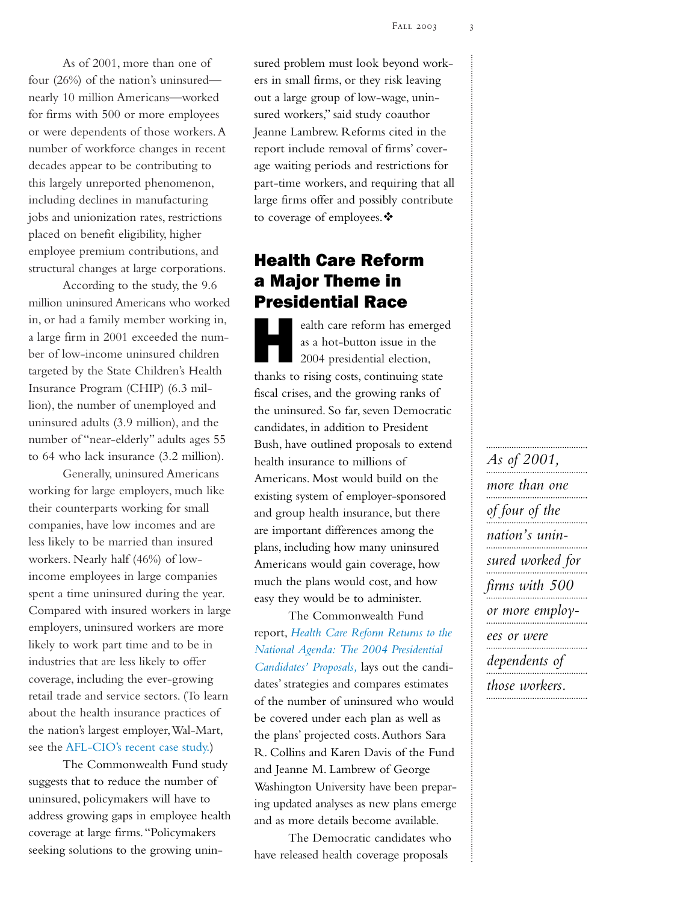<span id="page-2-0"></span>As of 2001, more than one of four (26%) of the nation's uninsured nearly 10 million Americans—worked for firms with 500 or more employees or were dependents of those workers.A number of workforce changes in recent decades appear to be contributing to this largely unreported phenomenon, including declines in manufacturing jobs and unionization rates, restrictions placed on benefit eligibility, higher employee premium contributions, and structural changes at large corporations.

According to the study, the 9.6 million uninsured Americans who worked in, or had a family member working in, a large firm in 2001 exceeded the number of low-income uninsured children targeted by the State Children's Health Insurance Program (CHIP) (6.3 million), the number of unemployed and uninsured adults (3.9 million), and the number of "near-elderly" adults ages 55 to 64 who lack insurance (3.2 million).

Generally, uninsured Americans working for large employers, much like their counterparts working for small companies, have low incomes and are less likely to be married than insured workers. Nearly half (46%) of lowincome employees in large companies spent a time uninsured during the year. Compared with insured workers in large employers, uninsured workers are more likely to work part time and to be in industries that are less likely to offer coverage, including the ever-growing retail trade and service sectors. (To learn about the health insurance practices of the nation's largest employer,Wal-Mart, see the [AFL-CIO's recent case study.](http://www.aflcio.org/issuespolitics/healthpolicy/upload/Wal-Mart_final.pdf))

The Commonwealth Fund study suggests that to reduce the number of uninsured, policymakers will have to address growing gaps in employee health coverage at large firms."Policymakers seeking solutions to the growing unin-

sured problem must look beyond workers in small firms, or they risk leaving out a large group of low-wage, uninsured workers," said study coauthor Jeanne Lambrew. Reforms cited in the report include removal of firms' coverage waiting periods and restrictions for part-time workers, and requiring that all large firms offer and possibly contribute to coverage of employees. ❖

### Health Care Reform a Major Theme in Presidential Race

ealth care reform has emerged as a hot-button issue in the 2004 presidential election, thanks to rising costs, continuing state fiscal crises, and the growing ranks of the uninsured. So far, seven Democratic candidates, in addition to President Bush, have outlined proposals to extend health insurance to millions of Americans. Most would build on the existing system of employer-sponsored and group health insurance, but there are important differences among the plans, including how many uninsured Americans would gain coverage, how much the plans would cost, and how easy they would be to administer.

The Commonwealth Fund report, *[Health Care Reform Returns to the](http://www.cmwf.org/programs/insurance/collins_reformagenda_671.pdf) [National Agenda: The 2004 Presidential](http://www.cmwf.org/programs/insurance/collins_reformagenda_671.pdf) [Candidates' Proposals,](http://www.cmwf.org/programs/insurance/collins_reformagenda_671.pdf)* lays out the candidates' strategies and compares estimates of the number of uninsured who would be covered under each plan as well as the plans' projected costs.Authors Sara R. Collins and Karen Davis of the Fund and Jeanne M. Lambrew of George Washington University have been preparing updated analyses as new plans emerge and as more details become available.

The Democratic candidates who have released health coverage proposals

*As of 2001, more than one of four of the nation's uninsured worked for firms with 500 or more employees or were dependents of those workers.*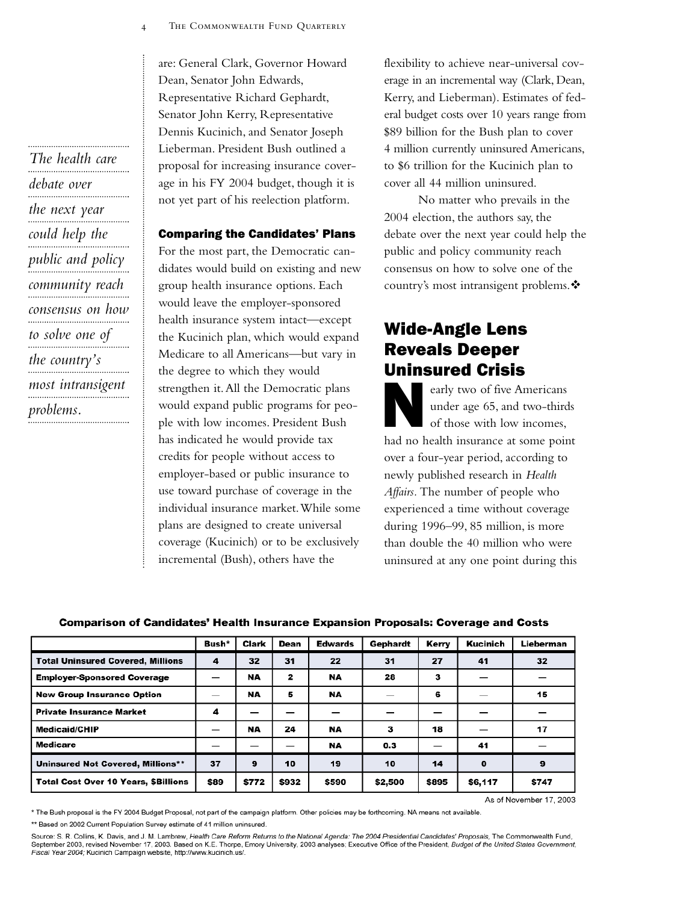<span id="page-3-0"></span>*The health care debate over the next year could help the public and policy community reach consensus on how to solve one of the country's most intransigent problems.* are: General Clark, Governor Howard Dean, Senator John Edwards, Representative Richard Gephardt, Senator John Kerry, Representative Dennis Kucinich, and Senator Joseph Lieberman. President Bush outlined a proposal for increasing insurance coverage in his FY 2004 budget, though it is not yet part of his reelection platform.

#### Comparing the Candidates' Plans

For the most part, the Democratic candidates would build on existing and new group health insurance options. Each would leave the employer-sponsored health insurance system intact—except the Kucinich plan, which would expand Medicare to all Americans—but vary in the degree to which they would strengthen it.All the Democratic plans would expand public programs for people with low incomes. President Bush has indicated he would provide tax credits for people without access to employer-based or public insurance to use toward purchase of coverage in the individual insurance market.While some plans are designed to create universal coverage (Kucinich) or to be exclusively incremental (Bush), others have the

flexibility to achieve near-universal coverage in an incremental way (Clark, Dean, Kerry, and Lieberman). Estimates of federal budget costs over 10 years range from \$89 billion for the Bush plan to cover 4 million currently uninsured Americans, to \$6 trillion for the Kucinich plan to cover all 44 million uninsured.

No matter who prevails in the 2004 election, the authors say, the debate over the next year could help the public and policy community reach consensus on how to solve one of the country's most intransigent problems.

## Wide-Angle Lens Reveals Deeper Uninsured Crisis

early two of five Americans under age 65, and two-thirds of those with low incomes, had no health insurance at some point over a four-year period, according to newly published research in *Health Affairs.* The number of people who experienced a time without coverage during 1996–99, 85 million, is more than double the 40 million who were uninsured at any one point during this

#### **Comparison of Candidates' Health Insurance Expansion Proposals: Coverage and Costs**

|                                             | Bush* | Clark     | Dean  | <b>Edwards</b> | Gephardt | Kerry | <b>Kucinich</b> | Lieberman |
|---------------------------------------------|-------|-----------|-------|----------------|----------|-------|-----------------|-----------|
| <b>Total Uninsured Covered, Millions</b>    | 4     | 32        | 31    | 22             | 31       | 27    | 41              | 32        |
| <b>Employer-Sponsored Coverage</b>          | –     | <b>NA</b> | 2     | <b>NA</b>      | 28       | з     |                 |           |
| <b>New Group Insurance Option</b>           | —     | <b>NA</b> | 5     | NA             |          | 6     |                 | 15        |
| <b>Private Insurance Market</b>             | 4     |           |       | –              |          |       |                 |           |
| <b>Medicaid/CHIP</b>                        |       | NA        | 24    | NA             | з        | 18    |                 | 17        |
| Medicare                                    | —     |           | –     | <b>NA</b>      | 0.3      |       | 41              |           |
| <b>Uninsured Not Covered, Millions**</b>    | 37    | 9         | 10    | 19             | 10       | 14    | o               | 9         |
| <b>Total Cost Over 10 Years, \$Billions</b> | \$89  | \$772     | \$932 | \$590          | \$2,500  | \$895 | \$6,117         | \$747     |

As of November 17, 2003

\* The Bush proposal is the FY 2004 Budget Proposal, not part of the campaign platform. Other policies may be forthcoming. NA means not available.

\*\* Based on 2002 Current Population Survey estimate of 41 million uninsured.

Source: S. R. Collins, K. Davis, and J. M. Lambrew, Health Care Reform Returns to the National Agenda: The 2004 Presidential Candidates' Proposals, The Commonwealth Fund, September 2003, revised November 17, 2003. Based on K.E. Thorpe, Emory University, 2003 analyses; Executive Office of the President, *Budget of the United States Government,*<br>Fiscal Year 2004; Kucinich Campaign website, ht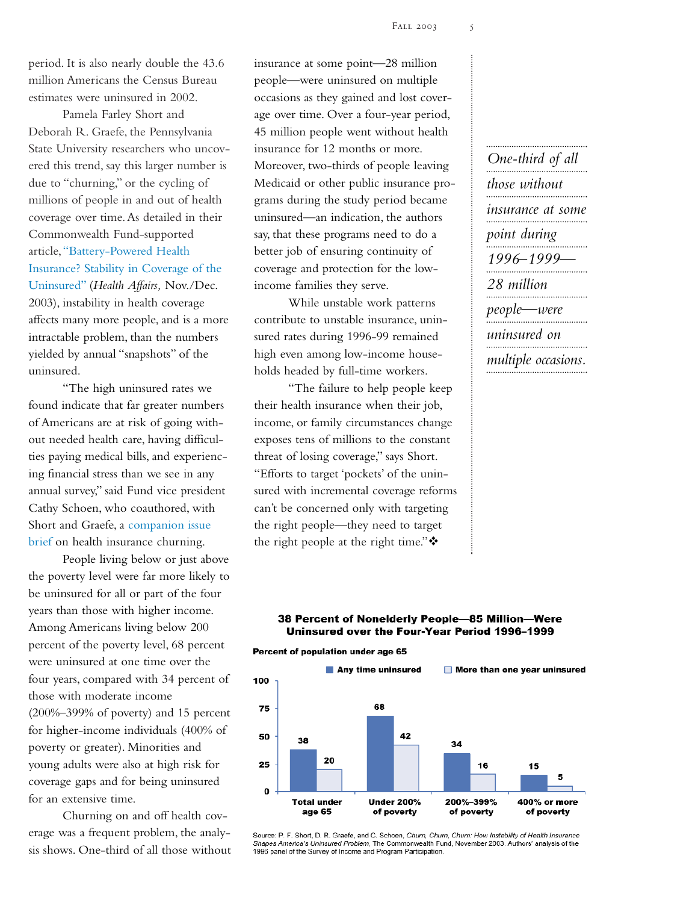period. It is also nearly double the 43.6 million Americans the Census Bureau estimates were uninsured in 2002.

Pamela Farley Short and Deborah R. Graefe, the Pennsylvania State University researchers who uncovered this trend, say this larger number is due to "churning," or the cycling of millions of people in and out of health coverage over time.As detailed in their Commonwealth Fund-supported article[,"Battery-Powered Health](http://www.cmwf.org/programs/insurance/short_batterypowered_itl_687.asp) [Insurance? Stability in Coverage of the](http://www.cmwf.org/programs/insurance/short_batterypowered_itl_687.asp) [Uninsured"](http://www.cmwf.org/programs/insurance/short_batterypowered_itl_687.asp) (*Health Affairs,* Nov./Dec. 2003), instability in health coverage affects many more people, and is a more intractable problem, than the numbers yielded by annual "snapshots" of the uninsured.

"The high uninsured rates we found indicate that far greater numbers of Americans are at risk of going without needed health care, having difficulties paying medical bills, and experiencing financial stress than we see in any annual survey," said Fund vice president Cathy Schoen, who coauthored, with Short and Graefe, a [companion issue](http://www.cmwf.org/programs/insurance/short_churn_ib_688.pdf) [brief](http://www.cmwf.org/programs/insurance/short_churn_ib_688.pdf) on health insurance churning.

People living below or just above the poverty level were far more likely to be uninsured for all or part of the four years than those with higher income. Among Americans living below 200 percent of the poverty level, 68 percent were uninsured at one time over the four years, compared with 34 percent of those with moderate income (200%–399% of poverty) and 15 percent for higher-income individuals (400% of poverty or greater). Minorities and young adults were also at high risk for coverage gaps and for being uninsured for an extensive time.

Churning on and off health coverage was a frequent problem, the analysis shows. One-third of all those without

insurance at some point—28 million people—were uninsured on multiple occasions as they gained and lost coverage over time. Over a four-year period, 45 million people went without health insurance for 12 months or more. Moreover, two-thirds of people leaving Medicaid or other public insurance programs during the study period became uninsured—an indication, the authors say, that these programs need to do a better job of ensuring continuity of coverage and protection for the lowincome families they serve.

While unstable work patterns contribute to unstable insurance, uninsured rates during 1996-99 remained high even among low-income households headed by full-time workers.

"The failure to help people keep their health insurance when their job, income, or family circumstances change exposes tens of millions to the constant threat of losing coverage," says Short. "Efforts to target 'pockets' of the uninsured with incremental coverage reforms can't be concerned only with targeting the right people—they need to target the right people at the right time." $\cdot$ 

*One-third of all those without insurance at some point during 1996–1999— 28 million people—were uninsured on multiple occasions.*

#### 38 Percent of Nonelderly People-85 Million-Were Uninsured over the Four-Year Period 1996-1999

Percent of population under age 65



Source: P. F. Short, D. R. Graefe, and C. Schoen, Churn, Churn, Churn: How Instability of Health Insurance<br>Shapes America's Uninsured Problem, The Commonwealth Fund, November 2003. Authors' analysis of the 1996 panel of the Survey of Income and Program Participation.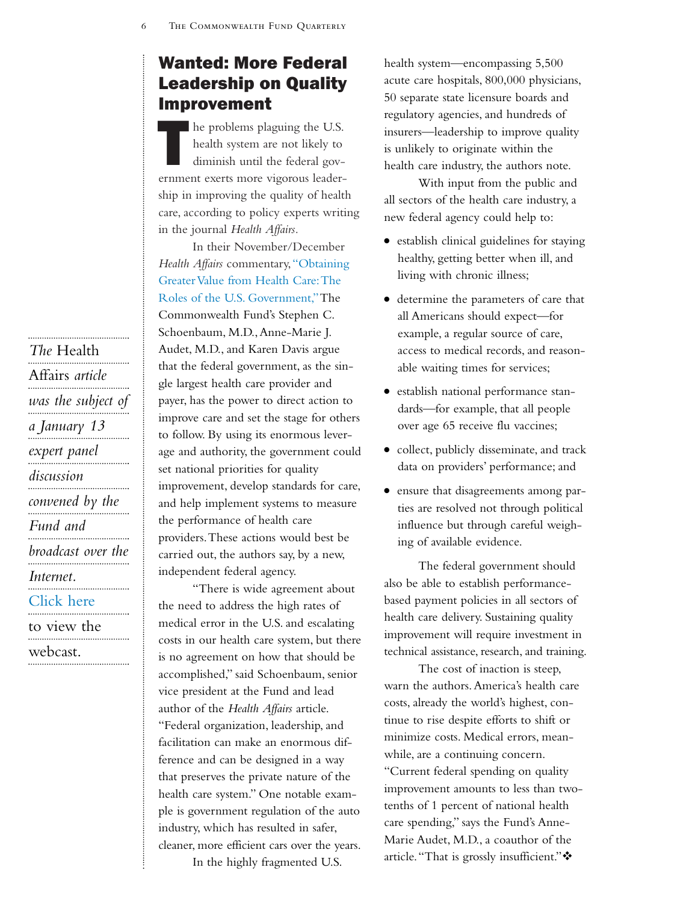# Wanted: More Federal Leadership on Quality Improvement

The problems plaguing the U.S.<br>
health system are not likely to<br>
diminish until the federal govhealth system are not likely to diminish until the federal government exerts more vigorous leadership in improving the quality of health care, according to policy experts writing in the journal *Health Affairs.*

In their November/December *Health Affairs* commentary,["Obtaining](http://www.cmwf.org/programs/quality/schoenbaum_greatervalue_itl_686.asp) [Greater Value from Health Care:The](http://www.cmwf.org/programs/quality/schoenbaum_greatervalue_itl_686.asp) [Roles of the U.S. Government,"T](http://www.cmwf.org/programs/quality/schoenbaum_greatervalue_itl_686.asp)he Commonwealth Fund's Stephen C. Schoenbaum, M.D.,Anne-Marie J. Audet, M.D., and Karen Davis argue that the federal government, as the single largest health care provider and payer, has the power to direct action to improve care and set the stage for others to follow. By using its enormous leverage and authority, the government could set national priorities for quality improvement, develop standards for care, and help implement systems to measure the performance of health care providers.These actions would best be carried out, the authors say, by a new, independent federal agency.

"There is wide agreement about the need to address the high rates of medical error in the U.S. and escalating costs in our health care system, but there is no agreement on how that should be accomplished," said Schoenbaum, senior vice president at the Fund and lead author of the *Health Affairs* article. "Federal organization, leadership, and facilitation can make an enormous difference and can be designed in a way that preserves the private nature of the health care system." One notable example is government regulation of the auto industry, which has resulted in safer, cleaner, more efficient cars over the years. In the highly fragmented U.S.

health system—encompassing 5,500 acute care hospitals, 800,000 physicians, 50 separate state licensure boards and regulatory agencies, and hundreds of insurers—leadership to improve quality is unlikely to originate within the health care industry, the authors note.

With input from the public and all sectors of the health care industry, a new federal agency could help to:

- establish clinical guidelines for staying healthy, getting better when ill, and living with chronic illness;
- <sup>O</sup> determine the parameters of care that all Americans should expect—for example, a regular source of care, access to medical records, and reasonable waiting times for services;
- <sup>O</sup> establish national performance standards—for example, that all people over age 65 receive flu vaccines;
- collect, publicly disseminate, and track data on providers' performance; and
- <sup>O</sup> ensure that disagreements among parties are resolved not through political influence but through careful weighing of available evidence.

The federal government should also be able to establish performancebased payment policies in all sectors of health care delivery. Sustaining quality improvement will require investment in technical assistance, research, and training.

The cost of inaction is steep, warn the authors.America's health care costs, already the world's highest, continue to rise despite efforts to shift or minimize costs. Medical errors, meanwhile, are a continuing concern.

"Current federal spending on quality improvement amounts to less than twotenths of 1 percent of national health care spending," says the Fund's Anne-Marie Audet, M.D., a coauthor of the article."That is grossly insufficient."

*The* Health Affairs *article was the subject of a January 13 expert panel discussion convened by the Fund and broadcast over the Internet.* [Click here](http://www.cmwf.org/programs/webcastfedrole_2ndpg.asp) to view the webcast.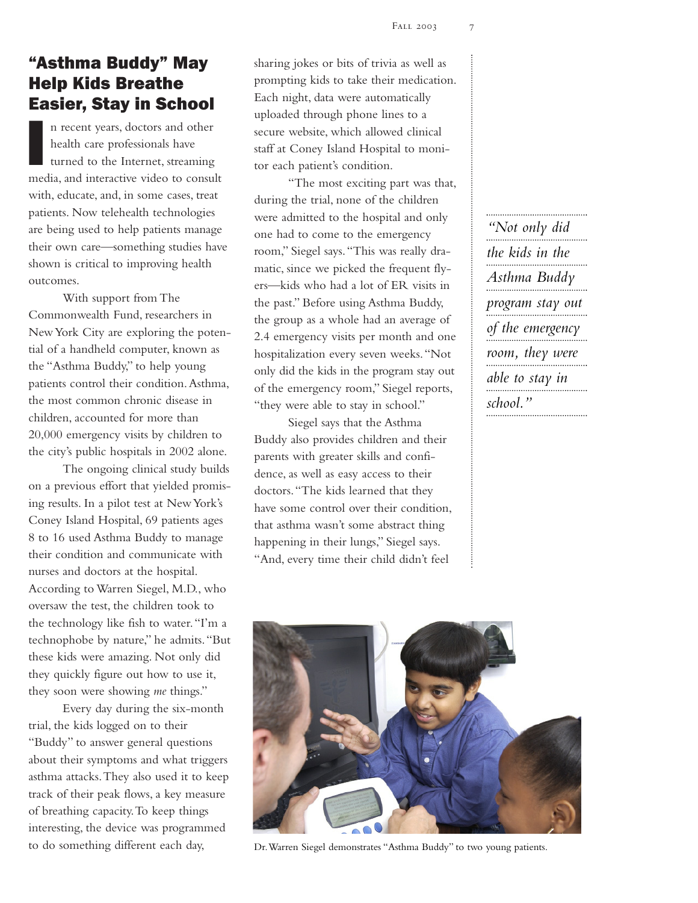# <span id="page-6-0"></span>"Asthma Buddy" May Help Kids Breathe Easier, Stay in School

I n recent years, doctors and other health care professionals have turned to the Internet, streaming media, and interactive video to consult with, educate, and, in some cases, treat patients. Now telehealth technologies are being used to help patients manage their own care—something studies have shown is critical to improving health outcomes.

With support from The Commonwealth Fund, researchers in New York City are exploring the potential of a handheld computer, known as the "Asthma Buddy," to help young patients control their condition.Asthma, the most common chronic disease in children, accounted for more than 20,000 emergency visits by children to the city's public hospitals in 2002 alone.

The ongoing clinical study builds on a previous effort that yielded promising results. In a pilot test at New York's Coney Island Hospital, 69 patients ages 8 to 16 used Asthma Buddy to manage their condition and communicate with nurses and doctors at the hospital. According to Warren Siegel, M.D., who oversaw the test, the children took to the technology like fish to water."I'm a technophobe by nature," he admits."But these kids were amazing. Not only did they quickly figure out how to use it, they soon were showing *me* things."

Every day during the six-month trial, the kids logged on to their "Buddy" to answer general questions about their symptoms and what triggers asthma attacks.They also used it to keep track of their peak flows, a key measure of breathing capacity.To keep things interesting, the device was programmed to do something different each day,

sharing jokes or bits of trivia as well as prompting kids to take their medication. Each night, data were automatically uploaded through phone lines to a secure website, which allowed clinical staff at Coney Island Hospital to monitor each patient's condition.

"The most exciting part was that, during the trial, none of the children were admitted to the hospital and only one had to come to the emergency room," Siegel says."This was really dramatic, since we picked the frequent flyers—kids who had a lot of ER visits in the past." Before using Asthma Buddy, the group as a whole had an average of 2.4 emergency visits per month and one hospitalization every seven weeks."Not only did the kids in the program stay out of the emergency room," Siegel reports, "they were able to stay in school."

Siegel says that the Asthma Buddy also provides children and their parents with greater skills and confidence, as well as easy access to their doctors."The kids learned that they have some control over their condition, that asthma wasn't some abstract thing happening in their lungs," Siegel says. "And, every time their child didn't feel

*"Not only did the kids in the Asthma Buddy program stay out of the emergency room, they were able to stay in school."*



Dr.Warren Siegel demonstrates "Asthma Buddy" to two young patients.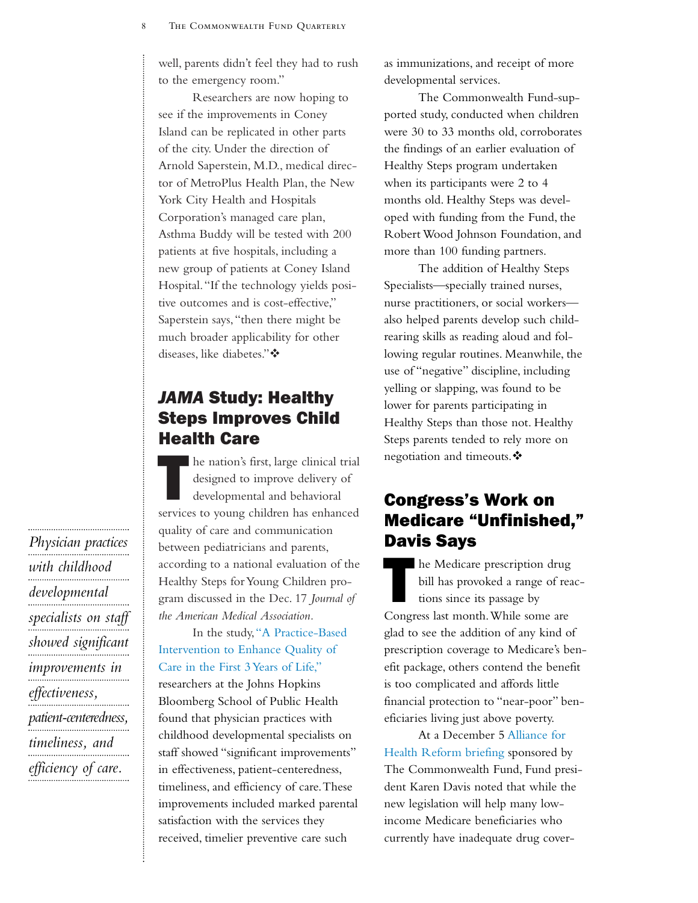<span id="page-7-0"></span>well, parents didn't feel they had to rush to the emergency room."

Researchers are now hoping to see if the improvements in Coney Island can be replicated in other parts of the city. Under the direction of Arnold Saperstein, M.D., medical director of MetroPlus Health Plan, the New York City Health and Hospitals Corporation's managed care plan, Asthma Buddy will be tested with 200 patients at five hospitals, including a new group of patients at Coney Island Hospital."If the technology yields positive outcomes and is cost-effective," Saperstein says,"then there might be much broader applicability for other diseases, like diabetes."

# *JAMA* Study: Healthy Steps Improves Child Health Care

In e nation's first, large clinical trial designed to improve delivery of developmental and behavioral services to young children has enhanced quality of care and communication between pediatricians and parents, according to a national evaluation of the Healthy Steps for Young Children program discussed in the Dec. 17 *Journal of the American Medical Association.*

In the study,["A Practice-Based](http://www.cmwf.org/programs/child/minkovitz_healthysteps_itl_697.asp) [Intervention to Enhance Quality of](http://www.cmwf.org/programs/child/minkovitz_healthysteps_itl_697.asp) [Care in the First 3 Years of Life,"](http://www.cmwf.org/programs/child/minkovitz_healthysteps_itl_697.asp) researchers at the Johns Hopkins Bloomberg School of Public Health found that physician practices with childhood developmental specialists on staff showed "significant improvements" in effectiveness, patient-centeredness, timeliness, and efficiency of care.These improvements included marked parental satisfaction with the services they received, timelier preventive care such

as immunizations, and receipt of more developmental services.

The Commonwealth Fund-supported study, conducted when children were 30 to 33 months old, corroborates the findings of an earlier evaluation of Healthy Steps program undertaken when its participants were 2 to 4 months old. Healthy Steps was developed with funding from the Fund, the Robert Wood Johnson Foundation, and more than 100 funding partners.

The addition of Healthy Steps Specialists—specially trained nurses, nurse practitioners, or social workers also helped parents develop such childrearing skills as reading aloud and following regular routines. Meanwhile, the use of "negative" discipline, including yelling or slapping, was found to be lower for parents participating in Healthy Steps than those not. Healthy Steps parents tended to rely more on negotiation and timeouts. ❖

# Congress's Work on Medicare "Unfinished," Davis Says

The Medicare prescription drug bill has provoked a range of reactions since its passage by Congress last month.While some are glad to see the addition of any kind of prescription coverage to Medicare's benefit package, others contend the benefit is too complicated and affords little financial protection to "near-poor" beneficiaries living just above poverty.

At a December 5 [Alliance for](http://www.cmwf.org/programs/alliance_page.asp) [Health Reform briefing](http://www.cmwf.org/programs/alliance_page.asp) sponsored by The Commonwealth Fund, Fund president Karen Davis noted that while the new legislation will help many lowincome Medicare beneficiaries who currently have inadequate drug cover-

*Physician practices with childhood developmental specialists on staff showed significant improvements in effectiveness, patient-centeredness, timeliness, and efficiency of care.*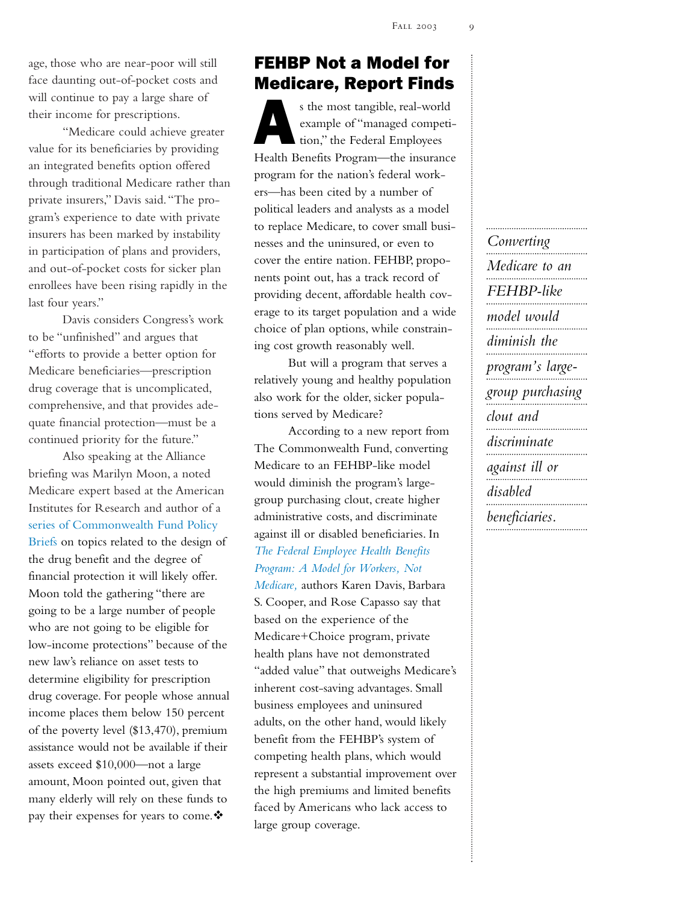<span id="page-8-0"></span>age, those who are near-poor will still face daunting out-of-pocket costs and will continue to pay a large share of their income for prescriptions.

"Medicare could achieve greater value for its beneficiaries by providing an integrated benefits option offered through traditional Medicare rather than private insurers," Davis said."The program's experience to date with private insurers has been marked by instability in participation of plans and providers, and out-of-pocket costs for sicker plan enrollees have been rising rapidly in the last four years."

Davis considers Congress's work to be "unfinished" and argues that "efforts to provide a better option for Medicare beneficiaries—prescription drug coverage that is uncomplicated, comprehensive, and that provides adequate financial protection—must be a continued priority for the future."

Also speaking at the Alliance briefing was Marilyn Moon, a noted Medicare expert based at the American Institutes for Research and author of a [series of Commonwealth Fund Policy](http://www.cmwf.org/publist/publist2.asp?CategoryID=9) [Briefs](http://www.cmwf.org/publist/publist2.asp?CategoryID=9) on topics related to the design of the drug benefit and the degree of financial protection it will likely offer. Moon told the gathering "there are going to be a large number of people who are not going to be eligible for low-income protections" because of the new law's reliance on asset tests to determine eligibility for prescription drug coverage. For people whose annual income places them below 150 percent of the poverty level (\$13,470), premium assistance would not be available if their assets exceed \$10,000—not a large amount, Moon pointed out, given that many elderly will rely on these funds to pay their expenses for years to come.  $\clubsuit$ 

## FEHBP Not a Model for Medicare, Report Finds

s the most tangible, real-world example of "managed competition," the Federal Employees Health Benefits Program—the insurance program for the nation's federal workers—has been cited by a number of political leaders and analysts as a model to replace Medicare, to cover small businesses and the uninsured, or even to cover the entire nation. FEHBP, proponents point out, has a track record of providing decent, affordable health coverage to its target population and a wide choice of plan options, while constraining cost growth reasonably well.

But will a program that serves a relatively young and healthy population also work for the older, sicker populations served by Medicare?

According to a new report from The Commonwealth Fund, converting Medicare to an FEHBP-like model would diminish the program's largegroup purchasing clout, create higher administrative costs, and discriminate against ill or disabled beneficiaries. In *[The Federal Employee Health Benefits](http://www.cmwf.org/programs/medfutur/davis_fehbp_677.pdf) Program: A Model for Workers, Not [Medicare,](http://www.cmwf.org/programs/medfutur/davis_fehbp_677.pdf)* authors Karen Davis, Barbara S. Cooper, and Rose Capasso say that based on the experience of the Medicare+Choice program, private health plans have not demonstrated "added value" that outweighs Medicare's inherent cost-saving advantages. Small business employees and uninsured adults, on the other hand, would likely benefit from the FEHBP's system of competing health plans, which would represent a substantial improvement over the high premiums and limited benefits faced by Americans who lack access to large group coverage.

*Converting*

*Medicare to an FEHBP-like model would diminish the program's largegroup purchasing clout and discriminate against ill or disabled beneficiaries.*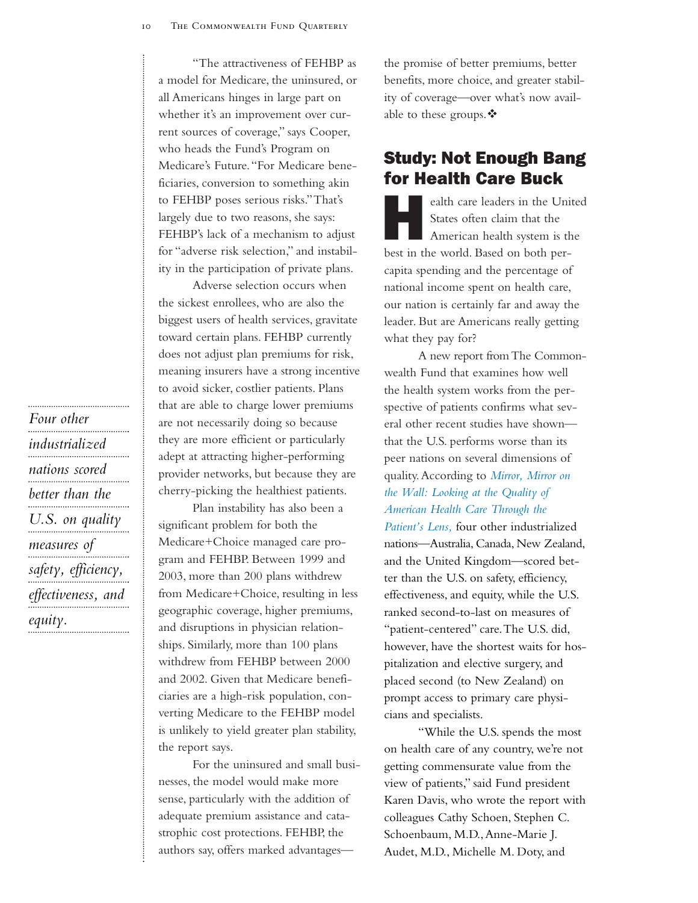<span id="page-9-0"></span>"The attractiveness of FEHBP as a model for Medicare, the uninsured, or all Americans hinges in large part on whether it's an improvement over current sources of coverage," says Cooper, who heads the Fund's Program on Medicare's Future."For Medicare beneficiaries, conversion to something akin to FEHBP poses serious risks."That's largely due to two reasons, she says: FEHBP's lack of a mechanism to adjust for "adverse risk selection," and instability in the participation of private plans.

Adverse selection occurs when the sickest enrollees, who are also the biggest users of health services, gravitate toward certain plans. FEHBP currently does not adjust plan premiums for risk, meaning insurers have a strong incentive to avoid sicker, costlier patients. Plans that are able to charge lower premiums are not necessarily doing so because they are more efficient or particularly adept at attracting higher-performing provider networks, but because they are cherry-picking the healthiest patients.

Plan instability has also been a significant problem for both the Medicare+Choice managed care program and FEHBP. Between 1999 and 2003, more than 200 plans withdrew from Medicare+Choice, resulting in less geographic coverage, higher premiums, and disruptions in physician relationships. Similarly, more than 100 plans withdrew from FEHBP between 2000 and 2002. Given that Medicare beneficiaries are a high-risk population, converting Medicare to the FEHBP model is unlikely to yield greater plan stability, the report says.

For the uninsured and small businesses, the model would make more sense, particularly with the addition of adequate premium assistance and catastrophic cost protections. FEHBP, the authors say, offers marked advantagesthe promise of better premiums, better benefits, more choice, and greater stability of coverage—over what's now available to these groups.  $\mathbf{\hat{P}}$ 

### Study: Not Enough Bang for Health Care Buck

Event Community and the United<br>States often claim that the<br>American health system is the States often claim that the American health system is the best in the world. Based on both percapita spending and the percentage of national income spent on health care, our nation is certainly far and away the leader. But are Americans really getting what they pay for?

A new report from The Commonwealth Fund that examines how well the health system works from the perspective of patients confirms what several other recent studies have shown that the U.S. performs worse than its peer nations on several dimensions of quality.According to *[Mirror, Mirror on](http://www.cmwf.org/programs/international/davis_mirrormirror_683.pdf) [the Wall: Looking at the Quality of](http://www.cmwf.org/programs/international/davis_mirrormirror_683.pdf) American Health Care Through the*

*[Patient's Lens,](http://www.cmwf.org/programs/international/davis_mirrormirror_683.pdf)* four other industrialized nations—Australia, Canada, New Zealand, and the United Kingdom—scored better than the U.S. on safety, efficiency, effectiveness, and equity, while the U.S. ranked second-to-last on measures of "patient-centered" care.The U.S. did, however, have the shortest waits for hospitalization and elective surgery, and placed second (to New Zealand) on prompt access to primary care physicians and specialists.

"While the U.S. spends the most on health care of any country, we're not getting commensurate value from the view of patients," said Fund president Karen Davis, who wrote the report with colleagues Cathy Schoen, Stephen C. Schoenbaum, M.D.,Anne-Marie J. Audet, M.D., Michelle M. Doty, and

*Four other industrialized nations scored better than the U.S. on quality measures of safety, efficiency, effectiveness, and equity.*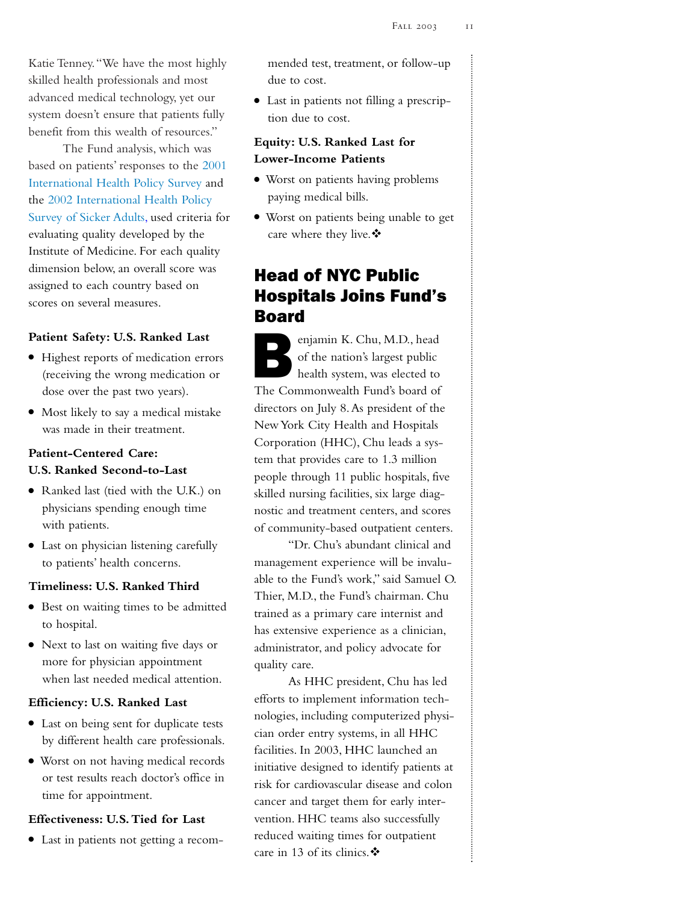<span id="page-10-0"></span>Katie Tenney."We have the most highly skilled health professionals and most advanced medical technology, yet our system doesn't ensure that patients fully benefit from this wealth of resources."

The Fund analysis, which was based on patients' responses to the [2001](http://www.cmwf.org/programs/international/schoen_fivenation_ib_542.pdf) [International Health Policy Survey](http://www.cmwf.org/programs/international/schoen_fivenation_ib_542.pdf) and the [2002 International Health Policy](http://www.cmwf.org/programs/international/blendon_diversesystems_itl_645.pdf) [Survey of Sicker Adults,](http://www.cmwf.org/programs/international/blendon_diversesystems_itl_645.pdf) used criteria for evaluating quality developed by the Institute of Medicine. For each quality dimension below, an overall score was assigned to each country based on scores on several measures.

### **Patient Safety: U.S. Ranked Last**

- $\bullet$  Highest reports of medication errors (receiving the wrong medication or dose over the past two years).
- $\bullet$  Most likely to say a medical mistake was made in their treatment.

### **Patient-Centered Care: U.S. Ranked Second-to-Last**

- Ranked last (tied with the U.K.) on physicians spending enough time with patients.
- $\bullet$  Last on physician listening carefully to patients' health concerns.

#### **Timeliness: U.S. Ranked Third**

- <sup>O</sup> Best on waiting times to be admitted to hospital.
- <sup>O</sup> Next to last on waiting five days or more for physician appointment when last needed medical attention.

#### **Efficiency: U.S. Ranked Last**

- <sup>O</sup> Last on being sent for duplicate tests by different health care professionals.
- <sup>O</sup> Worst on not having medical records or test results reach doctor's office in time for appointment.

### **Effectiveness: U.S.Tied for Last**

<sup>O</sup> Last in patients not getting a recom-

mended test, treatment, or follow-up due to cost.

<sup>O</sup> Last in patients not filling a prescription due to cost.

### **Equity: U.S. Ranked Last for Lower-Income Patients**

- Worst on patients having problems paying medical bills.
- <sup>O</sup> Worst on patients being unable to get care where they live. ❖

## Head of NYC Public Hospitals Joins Fund's Board

enjamin K. Chu, M.D., head<br>of the nation's largest public<br>health system, was elected to of the nation's largest public health system, was elected to The Commonwealth Fund's board of directors on July 8.As president of the New York City Health and Hospitals Corporation (HHC), Chu leads a system that provides care to 1.3 million people through 11 public hospitals, five skilled nursing facilities, six large diagnostic and treatment centers, and scores of community-based outpatient centers.

"Dr. Chu's abundant clinical and management experience will be invaluable to the Fund's work," said Samuel O. Thier, M.D., the Fund's chairman. Chu trained as a primary care internist and has extensive experience as a clinician, administrator, and policy advocate for quality care.

As HHC president, Chu has led efforts to implement information technologies, including computerized physician order entry systems, in all HHC facilities. In 2003, HHC launched an initiative designed to identify patients at risk for cardiovascular disease and colon cancer and target them for early intervention. HHC teams also successfully reduced waiting times for outpatient care in 13 of its clinics.